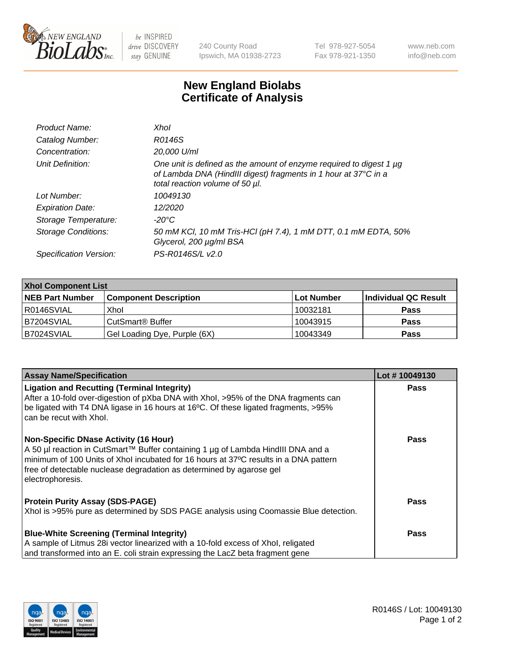

 $be$  INSPIRED drive DISCOVERY stay GENUINE

240 County Road Ipswich, MA 01938-2723 Tel 978-927-5054 Fax 978-921-1350 www.neb.com info@neb.com

## **New England Biolabs Certificate of Analysis**

| Product Name:              | Xhol                                                                                                                                                                      |
|----------------------------|---------------------------------------------------------------------------------------------------------------------------------------------------------------------------|
| Catalog Number:            | R0146S                                                                                                                                                                    |
| Concentration:             | 20,000 U/ml                                                                                                                                                               |
| Unit Definition:           | One unit is defined as the amount of enzyme required to digest 1 µg<br>of Lambda DNA (HindIII digest) fragments in 1 hour at 37°C in a<br>total reaction volume of 50 µl. |
| Lot Number:                | 10049130                                                                                                                                                                  |
| <b>Expiration Date:</b>    | 12/2020                                                                                                                                                                   |
| Storage Temperature:       | -20°C                                                                                                                                                                     |
| <b>Storage Conditions:</b> | 50 mM KCI, 10 mM Tris-HCI (pH 7.4), 1 mM DTT, 0.1 mM EDTA, 50%<br>Glycerol, 200 µg/ml BSA                                                                                 |
| Specification Version:     | PS-R0146S/L v2.0                                                                                                                                                          |

| <b>Xhol Component List</b> |                              |             |                      |  |  |
|----------------------------|------------------------------|-------------|----------------------|--|--|
| <b>NEB Part Number</b>     | <b>Component Description</b> | ∣Lot Number | Individual QC Result |  |  |
| R0146SVIAL                 | Xhol                         | 10032181    | <b>Pass</b>          |  |  |
| B7204SVIAL                 | CutSmart® Buffer             | 10043915    | <b>Pass</b>          |  |  |
| B7024SVIAL                 | Gel Loading Dye, Purple (6X) | 10043349    | <b>Pass</b>          |  |  |

| <b>Assay Name/Specification</b>                                                                                                                                            | Lot #10049130 |
|----------------------------------------------------------------------------------------------------------------------------------------------------------------------------|---------------|
| <b>Ligation and Recutting (Terminal Integrity)</b>                                                                                                                         | <b>Pass</b>   |
| After a 10-fold over-digestion of pXba DNA with Xhol, >95% of the DNA fragments can<br>be ligated with T4 DNA ligase in 16 hours at 16°C. Of these ligated fragments, >95% |               |
| can be recut with Xhol.                                                                                                                                                    |               |
| <b>Non-Specific DNase Activity (16 Hour)</b>                                                                                                                               | <b>Pass</b>   |
| A 50 µl reaction in CutSmart™ Buffer containing 1 µg of Lambda HindIII DNA and a                                                                                           |               |
| minimum of 100 Units of Xhol incubated for 16 hours at 37°C results in a DNA pattern<br>free of detectable nuclease degradation as determined by agarose gel               |               |
| electrophoresis.                                                                                                                                                           |               |
|                                                                                                                                                                            |               |
| <b>Protein Purity Assay (SDS-PAGE)</b>                                                                                                                                     | Pass          |
| Xhol is >95% pure as determined by SDS PAGE analysis using Coomassie Blue detection.                                                                                       |               |
| <b>Blue-White Screening (Terminal Integrity)</b>                                                                                                                           | Pass          |
| A sample of Litmus 28i vector linearized with a 10-fold excess of Xhol, religated                                                                                          |               |
| and transformed into an E. coli strain expressing the LacZ beta fragment gene                                                                                              |               |